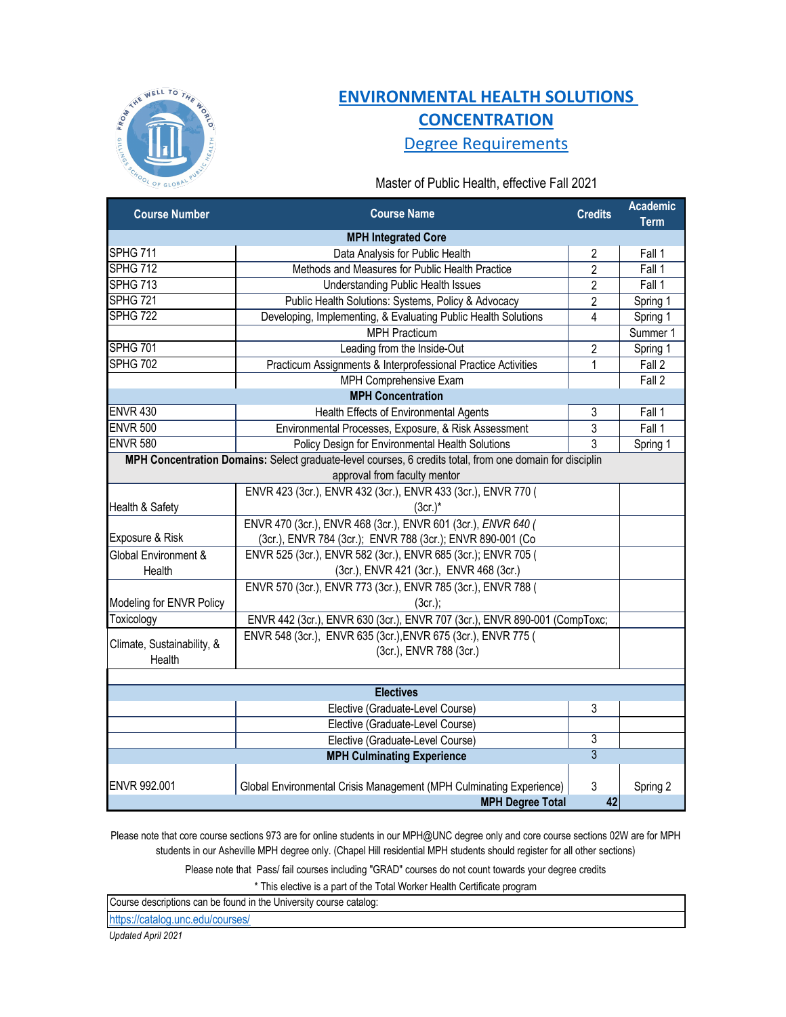

## **[ENVIRONMENTAL H](https://sph.unc.edu/resource-pages/master-of-public-health/environmental-health-solutions-concentration/)EALTH SOLUTIONS [CONCENTRATION](https://sph.unc.edu/resource-pages/master-of-public-health/environmental-health-solutions-concentration/)** [Degree Requirements](https://sph.unc.edu/resource-pages/master-of-public-health/environmental-health-solutions-concentration/)

Master of Public Health, effective Fall 2021

| <b>Course Number</b>                    | <b>Course Name</b>                                                                                                                       | <b>Credits</b> | <b>Academic</b><br><b>Term</b> |
|-----------------------------------------|------------------------------------------------------------------------------------------------------------------------------------------|----------------|--------------------------------|
|                                         | <b>MPH Integrated Core</b>                                                                                                               |                |                                |
| <b>SPHG 711</b>                         | Data Analysis for Public Health                                                                                                          | $\overline{2}$ | Fall 1                         |
| SPHG 712                                | Methods and Measures for Public Health Practice                                                                                          | $\overline{2}$ | Fall 1                         |
| SPHG 713                                | <b>Understanding Public Health Issues</b>                                                                                                | $\overline{2}$ | Fall 1                         |
| <b>SPHG 721</b>                         | Public Health Solutions: Systems, Policy & Advocacy                                                                                      | $\overline{2}$ | Spring 1                       |
| SPHG 722                                | Developing, Implementing, & Evaluating Public Health Solutions                                                                           | 4              | Spring 1                       |
|                                         | <b>MPH Practicum</b>                                                                                                                     |                | Summer 1                       |
| <b>SPHG 701</b>                         | Leading from the Inside-Out                                                                                                              | $\overline{2}$ | Spring 1                       |
| <b>SPHG 702</b>                         | Practicum Assignments & Interprofessional Practice Activities                                                                            | 1              | Fall 2                         |
|                                         | MPH Comprehensive Exam                                                                                                                   |                | Fall 2                         |
|                                         | <b>MPH Concentration</b>                                                                                                                 |                |                                |
| <b>ENVR 430</b>                         | Health Effects of Environmental Agents                                                                                                   | 3              | Fall 1                         |
| <b>ENVR 500</b>                         | Environmental Processes, Exposure, & Risk Assessment                                                                                     | 3              | Fall 1                         |
| <b>ENVR 580</b>                         | Policy Design for Environmental Health Solutions                                                                                         | $\overline{3}$ | Spring 1                       |
|                                         | MPH Concentration Domains: Select graduate-level courses, 6 credits total, from one domain for disciplin<br>approval from faculty mentor |                |                                |
|                                         | ENVR 423 (3cr.), ENVR 432 (3cr.), ENVR 433 (3cr.), ENVR 770 (                                                                            |                |                                |
| Health & Safety                         | $(3cr.)^*$                                                                                                                               |                |                                |
|                                         | ENVR 470 (3cr.), ENVR 468 (3cr.), ENVR 601 (3cr.), ENVR 640 (                                                                            |                |                                |
| Exposure & Risk<br>Global Environment & | (3cr.), ENVR 784 (3cr.); ENVR 788 (3cr.); ENVR 890-001 (Co.                                                                              |                |                                |
|                                         | ENVR 525 (3cr.), ENVR 582 (3cr.), ENVR 685 (3cr.); ENVR 705 (                                                                            |                |                                |
| Health                                  | (3cr.), ENVR 421 (3cr.), ENVR 468 (3cr.)                                                                                                 |                |                                |
|                                         | ENVR 570 (3cr.), ENVR 773 (3cr.), ENVR 785 (3cr.), ENVR 788 (                                                                            |                |                                |
| Modeling for ENVR Policy                | $(3cr.)$ ;                                                                                                                               |                |                                |
| Toxicology                              | ENVR 442 (3cr.), ENVR 630 (3cr.), ENVR 707 (3cr.), ENVR 890-001 (CompToxc;                                                               |                |                                |
| Climate, Sustainability, &<br>Health    | ENVR 548 (3cr.), ENVR 635 (3cr.), ENVR 675 (3cr.), ENVR 775 (<br>(3cr.), ENVR 788 (3cr.)                                                 |                |                                |
|                                         |                                                                                                                                          |                |                                |
|                                         | <b>Electives</b>                                                                                                                         |                |                                |
|                                         | Elective (Graduate-Level Course)                                                                                                         | 3              |                                |
|                                         | Elective (Graduate-Level Course)                                                                                                         |                |                                |
|                                         | Elective (Graduate-Level Course)                                                                                                         | 3              |                                |
|                                         | <b>MPH Culminating Experience</b>                                                                                                        | $\overline{3}$ |                                |
|                                         |                                                                                                                                          |                |                                |
| ENVR 992.001                            | Global Environmental Crisis Management (MPH Culminating Experience)                                                                      | 3              | Spring 2                       |
|                                         | <b>MPH Degree Total</b>                                                                                                                  | 42             |                                |

Please note that core course sections 973 are for online students in our MPH@UNC degree only and core course sections 02W are for MPH students in our Asheville MPH degree only. (Chapel Hill residential MPH students should register for all other sections)

Please note that Pass/ fail courses including "GRAD" courses do not count towards your degree credits

\* This elective is a part of the Total Worker Health Certificate program

Course descriptions can be found in the University course catalog:

[https://catalog.unc.edu/course](https://catalog.unc.edu/courses/)s/

*Updated April 2021*